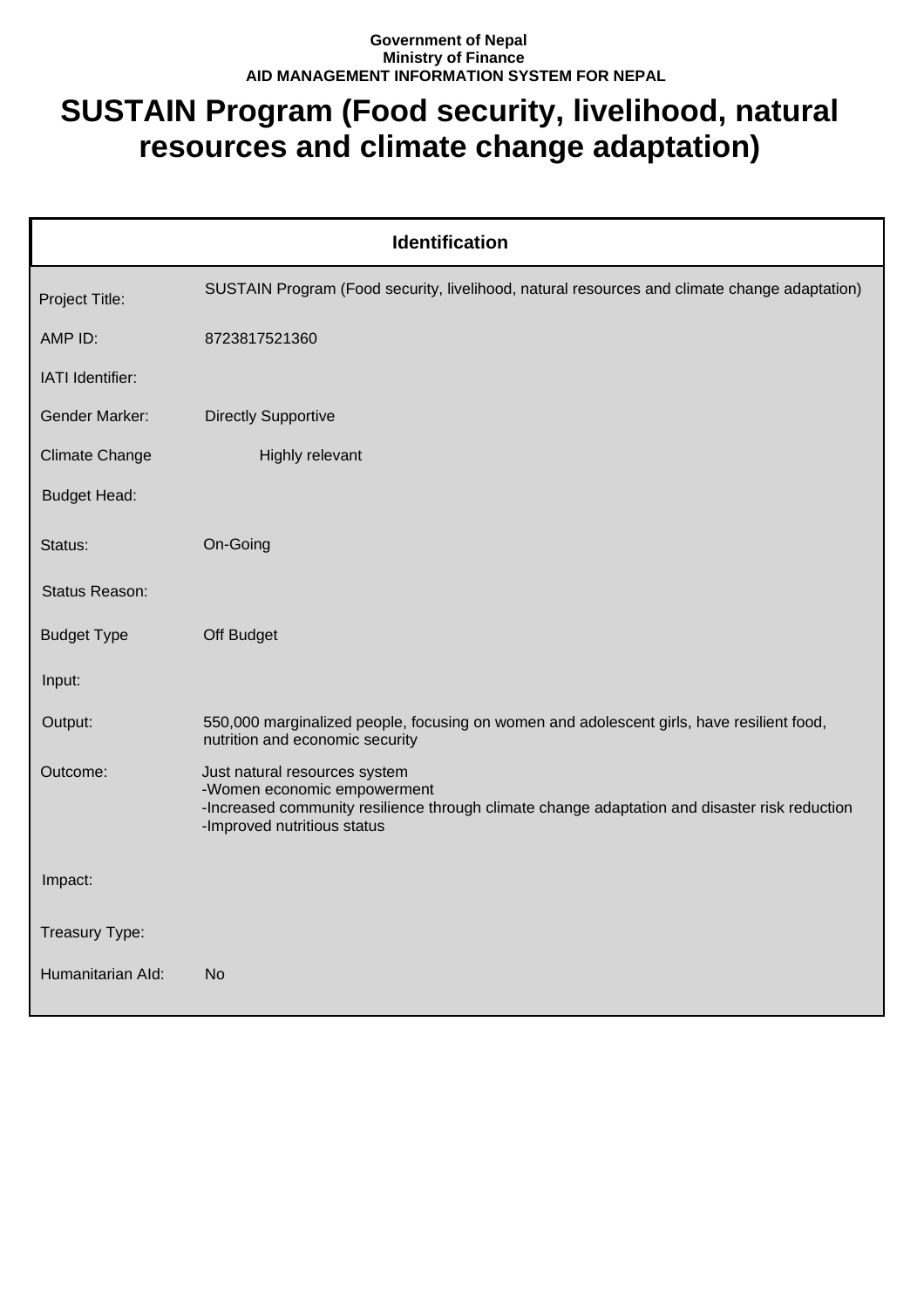## **Government of Nepal Ministry of Finance AID MANAGEMENT INFORMATION SYSTEM FOR NEPAL**

## **SUSTAIN Program (Food security, livelihood, natural resources and climate change adaptation)**

| <b>Identification</b> |                                                                                                                                                                                              |  |
|-----------------------|----------------------------------------------------------------------------------------------------------------------------------------------------------------------------------------------|--|
| Project Title:        | SUSTAIN Program (Food security, livelihood, natural resources and climate change adaptation)                                                                                                 |  |
| AMP ID:               | 8723817521360                                                                                                                                                                                |  |
| IATI Identifier:      |                                                                                                                                                                                              |  |
| <b>Gender Marker:</b> | <b>Directly Supportive</b>                                                                                                                                                                   |  |
| <b>Climate Change</b> | Highly relevant                                                                                                                                                                              |  |
| <b>Budget Head:</b>   |                                                                                                                                                                                              |  |
| Status:               | On-Going                                                                                                                                                                                     |  |
| Status Reason:        |                                                                                                                                                                                              |  |
| <b>Budget Type</b>    | Off Budget                                                                                                                                                                                   |  |
| Input:                |                                                                                                                                                                                              |  |
| Output:               | 550,000 marginalized people, focusing on women and adolescent girls, have resilient food,<br>nutrition and economic security                                                                 |  |
| Outcome:              | Just natural resources system<br>-Women economic empowerment<br>-Increased community resilience through climate change adaptation and disaster risk reduction<br>-Improved nutritious status |  |
| Impact:               |                                                                                                                                                                                              |  |
| Treasury Type:        |                                                                                                                                                                                              |  |
| Humanitarian Ald:     | No.                                                                                                                                                                                          |  |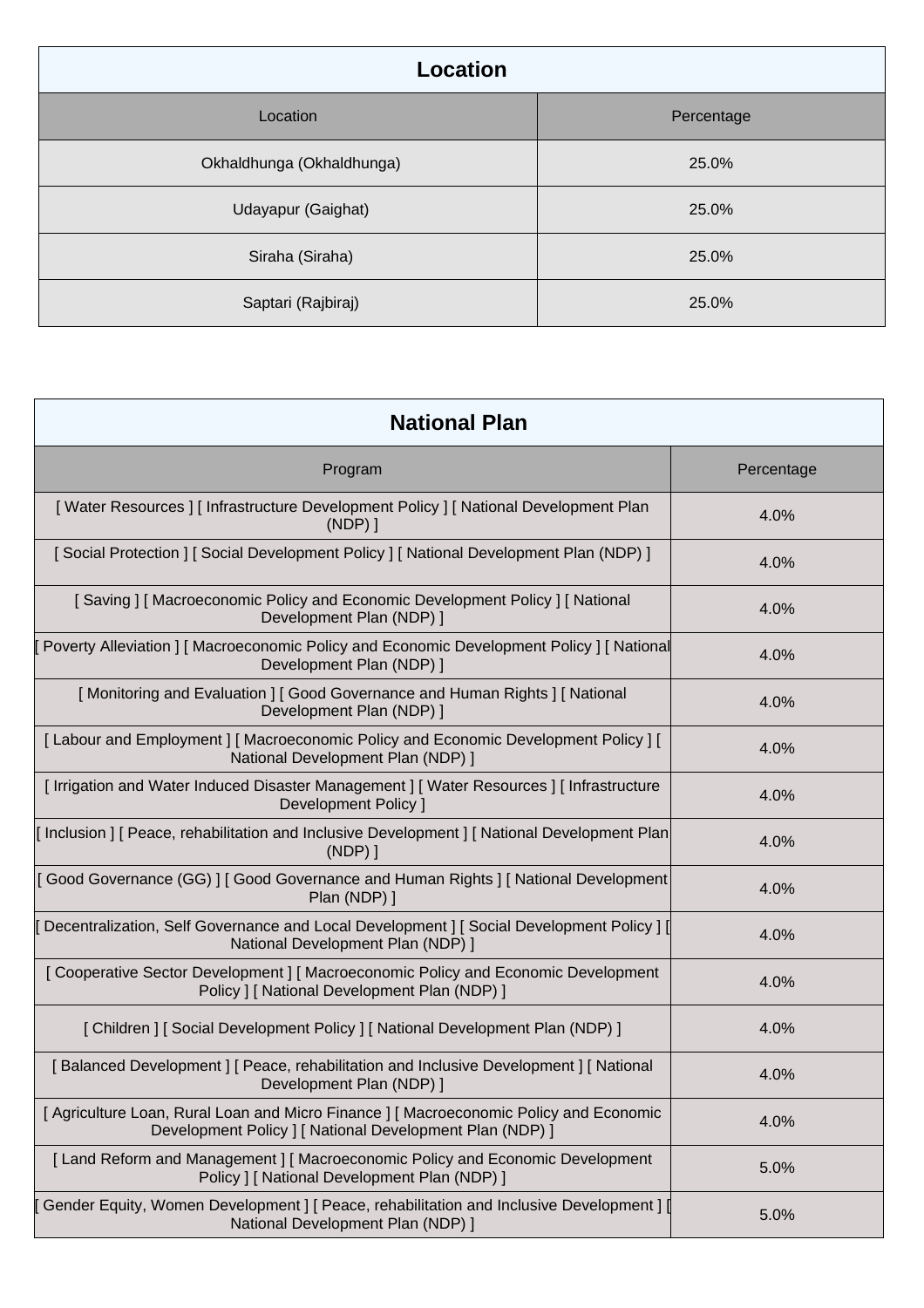| Location                  |            |
|---------------------------|------------|
| Location                  | Percentage |
| Okhaldhunga (Okhaldhunga) | 25.0%      |
| Udayapur (Gaighat)        | 25.0%      |
| Siraha (Siraha)           | 25.0%      |
| Saptari (Rajbiraj)        | 25.0%      |

| <b>National Plan</b>                                                                                                                             |            |  |
|--------------------------------------------------------------------------------------------------------------------------------------------------|------------|--|
| Program                                                                                                                                          | Percentage |  |
| [Water Resources] [Infrastructure Development Policy] [National Development Plan<br>$(NDP)$ ]                                                    | 4.0%       |  |
| [Social Protection ] [Social Development Policy ] [National Development Plan (NDP) ]                                                             | 4.0%       |  |
| [Saving] [Macroeconomic Policy and Economic Development Policy] [National<br>Development Plan (NDP) ]                                            | 4.0%       |  |
| Poverty Alleviation ] [ Macroeconomic Policy and Economic Development Policy ] [ National<br>Development Plan (NDP) ]                            | 4.0%       |  |
| [Monitoring and Evaluation ] [ Good Governance and Human Rights ] [ National<br>Development Plan (NDP) 1                                         | 4.0%       |  |
| [Labour and Employment] [Macroeconomic Policy and Economic Development Policy] [<br>National Development Plan (NDP) ]                            | 4.0%       |  |
| [ Irrigation and Water Induced Disaster Management ] [ Water Resources ] [ Infrastructure<br>Development Policy ]                                | 4.0%       |  |
| Inclusion   [ Peace, rehabilitation and Inclusive Development ] [ National Development Plan<br>$(NDP)$ ]                                         | 4.0%       |  |
| [Good Governance (GG)] [Good Governance and Human Rights ] [National Development<br>Plan (NDP) ]                                                 | 4.0%       |  |
| Decentralization, Self Governance and Local Development ] [ Social Development Policy ] [<br>National Development Plan (NDP) ]                   | 4.0%       |  |
| [Cooperative Sector Development] [Macroeconomic Policy and Economic Development<br>Policy ] [ National Development Plan (NDP) ]                  | 4.0%       |  |
| [ Children ] [ Social Development Policy ] [ National Development Plan (NDP) ]                                                                   | 4.0%       |  |
| [Balanced Development] [ Peace, rehabilitation and Inclusive Development] [ National<br>Development Plan (NDP) ]                                 | 4.0%       |  |
| [Agriculture Loan, Rural Loan and Micro Finance ] [Macroeconomic Policy and Economic<br>Development Policy   [ National Development Plan (NDP) ] | 4.0%       |  |
| [Land Reform and Management] [Macroeconomic Policy and Economic Development<br>Policy ] [ National Development Plan (NDP) ]                      | 5.0%       |  |
| Gender Equity, Women Development ] [ Peace, rehabilitation and Inclusive Development ] [<br>National Development Plan (NDP) ]                    | 5.0%       |  |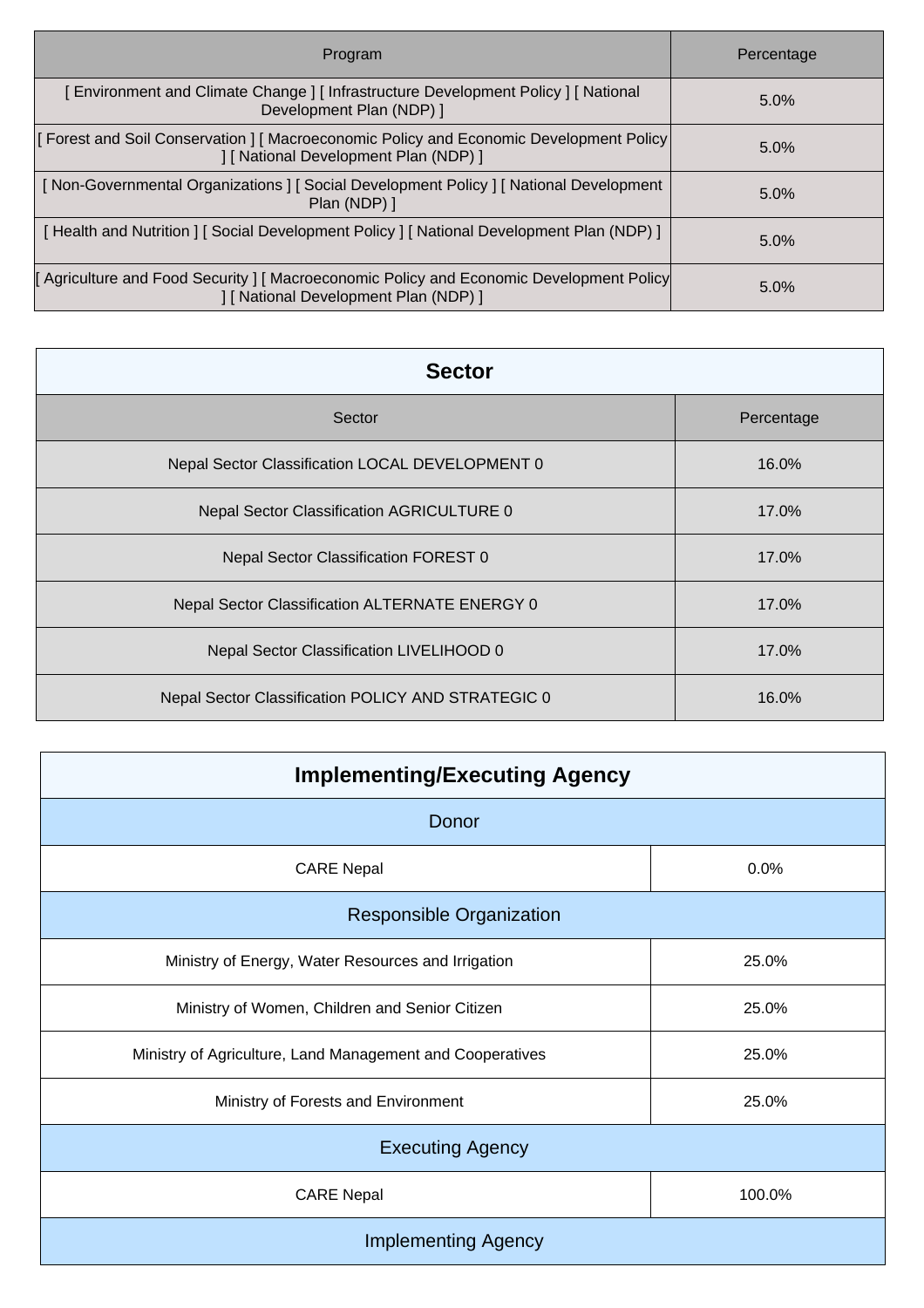| Program                                                                                                                          | Percentage |
|----------------------------------------------------------------------------------------------------------------------------------|------------|
| [Environment and Climate Change] [Infrastructure Development Policy] [National<br>Development Plan (NDP) ]                       | 5.0%       |
| Forest and Soil Conservation   [ Macroeconomic Policy and Economic Development Policy  <br>] [ National Development Plan (NDP) ] | 5.0%       |
| [Non-Governmental Organizations ] [Social Development Policy ] [National Development<br>Plan (NDP) ]                             | $5.0\%$    |
| [Health and Nutrition ] [Social Development Policy ] [National Development Plan (NDP) ]                                          | $5.0\%$    |
| Fariculture and Food Security   [ Macroeconomic Policy and Economic Development Policy<br>] [ National Development Plan (NDP) ]  | 5.0%       |

| <b>Sector</b>                                      |            |  |
|----------------------------------------------------|------------|--|
| Sector                                             | Percentage |  |
| Nepal Sector Classification LOCAL DEVELOPMENT 0    | 16.0%      |  |
| Nepal Sector Classification AGRICULTURE 0          | 17.0%      |  |
| Nepal Sector Classification FOREST 0               | 17.0%      |  |
| Nepal Sector Classification ALTERNATE ENERGY 0     | 17.0%      |  |
| Nepal Sector Classification LIVELIHOOD 0           | 17.0%      |  |
| Nepal Sector Classification POLICY AND STRATEGIC 0 | 16.0%      |  |

| <b>Implementing/Executing Agency</b>                      |        |  |
|-----------------------------------------------------------|--------|--|
| Donor                                                     |        |  |
| <b>CARE Nepal</b>                                         | 0.0%   |  |
| <b>Responsible Organization</b>                           |        |  |
| Ministry of Energy, Water Resources and Irrigation        | 25.0%  |  |
| Ministry of Women, Children and Senior Citizen            | 25.0%  |  |
| Ministry of Agriculture, Land Management and Cooperatives | 25.0%  |  |
| Ministry of Forests and Environment                       | 25.0%  |  |
| <b>Executing Agency</b>                                   |        |  |
| <b>CARE Nepal</b>                                         | 100.0% |  |
| <b>Implementing Agency</b>                                |        |  |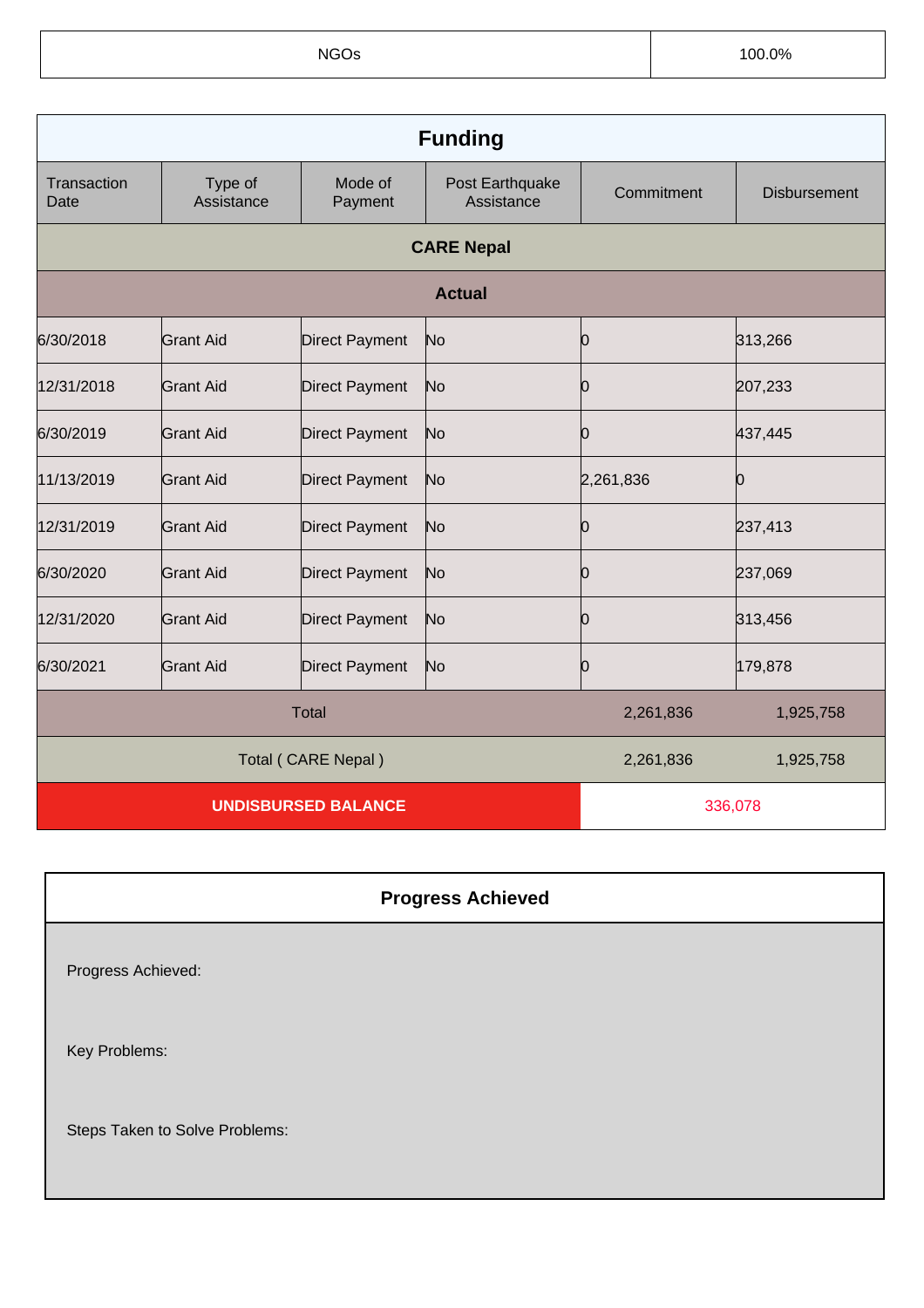NGOs 100.0%

| <b>Funding</b>             |                       |                       |                               |            |                     |
|----------------------------|-----------------------|-----------------------|-------------------------------|------------|---------------------|
| Transaction<br>Date        | Type of<br>Assistance | Mode of<br>Payment    | Post Earthquake<br>Assistance | Commitment | <b>Disbursement</b> |
|                            | <b>CARE Nepal</b>     |                       |                               |            |                     |
|                            | <b>Actual</b>         |                       |                               |            |                     |
| 6/30/2018                  | Grant Aid             | <b>Direct Payment</b> | No                            | 10         | 313,266             |
| 12/31/2018                 | <b>Grant Aid</b>      | <b>Direct Payment</b> | No                            | Ю          | 207,233             |
| 6/30/2019                  | Grant Aid             | <b>Direct Payment</b> | No                            | 10         | 437,445             |
| 11/13/2019                 | <b>Grant Aid</b>      | <b>Direct Payment</b> | No                            | 2,261,836  | Ю                   |
| 12/31/2019                 | <b>Grant Aid</b>      | <b>Direct Payment</b> | No                            | 10         | 237,413             |
| 6/30/2020                  | <b>Grant Aid</b>      | <b>Direct Payment</b> | No                            | Ю          | 237,069             |
| 12/31/2020                 | <b>Grant Aid</b>      | <b>Direct Payment</b> | No                            | 10         | 313,456             |
| 6/30/2021                  | <b>Grant Aid</b>      | <b>Direct Payment</b> | No                            | Ю          | 179,878             |
|                            |                       | <b>Total</b>          |                               | 2,261,836  | 1,925,758           |
|                            |                       | Total (CARE Nepal)    |                               | 2,261,836  | 1,925,758           |
| <b>UNDISBURSED BALANCE</b> |                       |                       |                               | 336,078    |                     |

## **Progress Achieved**

Progress Achieved:

Key Problems:

Steps Taken to Solve Problems: